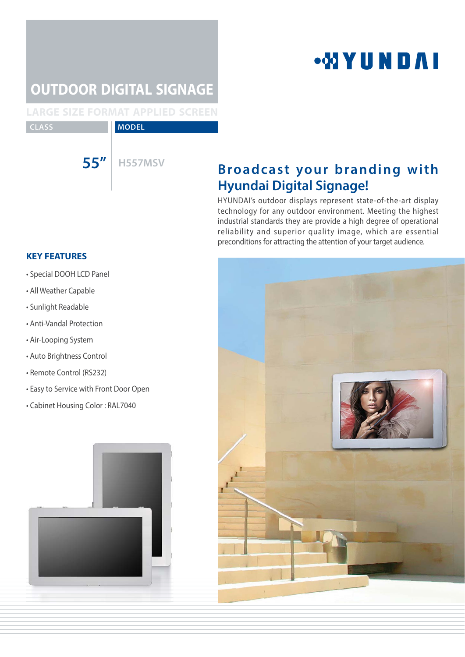## **WYUNDAI**

## **OUTDOOR DIGITAL SIGNAGE**

**LARGE SIZE FORMAT APPLIED SCREEN**

**CLASS MODEL** 

## **55"** H557MSV **Broadcast your branding with Hyundai Digital Signage!**

HYUNDAI's outdoor displays represent state-of-the-art display technology for any outdoor environment. Meeting the highest industrial standards they are provide a high degree of operational reliability and superior quality image, which are essential preconditions for attracting the attention of your target audience.

### **KEY FEATURES**

- Special DOOH LCD Panel
- All Weather Capable
- Sunlight Readable
- Anti-Vandal Protection
- Air-Looping System
- Auto Brightness Control
- Remote Control (RS232)
- Easy to Service with Front Door Open
- Cabinet Housing Color : RAL7040